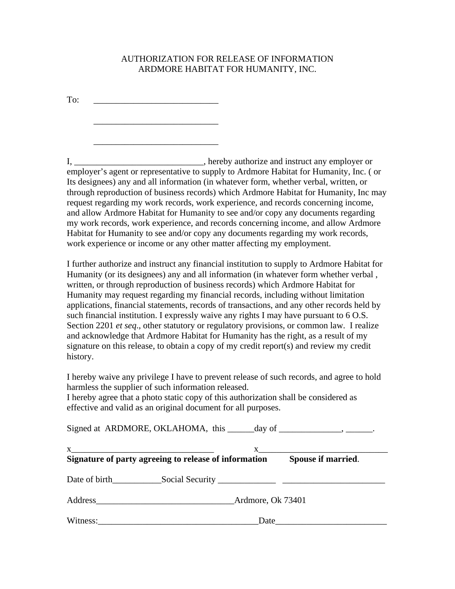## AUTHORIZATION FOR RELEASE OF INFORMATION ARDMORE HABITAT FOR HUMANITY, INC.

To: \_\_\_\_\_\_\_\_\_\_\_\_\_\_\_\_\_\_\_\_\_\_\_\_\_\_\_\_

 $\overline{\phantom{a}}$  ,  $\overline{\phantom{a}}$  ,  $\overline{\phantom{a}}$  ,  $\overline{\phantom{a}}$  ,  $\overline{\phantom{a}}$  ,  $\overline{\phantom{a}}$  ,  $\overline{\phantom{a}}$  ,  $\overline{\phantom{a}}$  ,  $\overline{\phantom{a}}$  ,  $\overline{\phantom{a}}$  ,  $\overline{\phantom{a}}$  ,  $\overline{\phantom{a}}$  ,  $\overline{\phantom{a}}$  ,  $\overline{\phantom{a}}$  ,  $\overline{\phantom{a}}$  ,  $\overline{\phantom{a}}$ 

 $\overline{\phantom{a}}$  ,  $\overline{\phantom{a}}$  ,  $\overline{\phantom{a}}$  ,  $\overline{\phantom{a}}$  ,  $\overline{\phantom{a}}$  ,  $\overline{\phantom{a}}$  ,  $\overline{\phantom{a}}$  ,  $\overline{\phantom{a}}$  ,  $\overline{\phantom{a}}$  ,  $\overline{\phantom{a}}$  ,  $\overline{\phantom{a}}$  ,  $\overline{\phantom{a}}$  ,  $\overline{\phantom{a}}$  ,  $\overline{\phantom{a}}$  ,  $\overline{\phantom{a}}$  ,  $\overline{\phantom{a}}$ 

I, \_\_\_\_\_\_\_\_\_\_\_\_\_\_\_\_\_\_\_\_\_\_\_\_\_\_\_\_\_, hereby authorize and instruct any employer or employer's agent or representative to supply to Ardmore Habitat for Humanity, Inc. ( or Its designees) any and all information (in whatever form, whether verbal, written, or through reproduction of business records) which Ardmore Habitat for Humanity, Inc may request regarding my work records, work experience, and records concerning income, and allow Ardmore Habitat for Humanity to see and/or copy any documents regarding my work records, work experience, and records concerning income, and allow Ardmore Habitat for Humanity to see and/or copy any documents regarding my work records, work experience or income or any other matter affecting my employment.

I further authorize and instruct any financial institution to supply to Ardmore Habitat for Humanity (or its designees) any and all information (in whatever form whether verbal , written, or through reproduction of business records) which Ardmore Habitat for Humanity may request regarding my financial records, including without limitation applications, financial statements, records of transactions, and any other records held by such financial institution. I expressly waive any rights I may have pursuant to 6 O.S. Section 2201 *et seq*., other statutory or regulatory provisions, or common law. I realize and acknowledge that Ardmore Habitat for Humanity has the right, as a result of my signature on this release, to obtain a copy of my credit report(s) and review my credit history.

I hereby waive any privilege I have to prevent release of such records, and agree to hold harmless the supplier of such information released.

I hereby agree that a photo static copy of this authorization shall be considered as effective and valid as an original document for all purposes.

| Signed at ARDMORE, OKLAHOMA, this ______day of ________________, _______. |                                                                                                                                                                                                                               |
|---------------------------------------------------------------------------|-------------------------------------------------------------------------------------------------------------------------------------------------------------------------------------------------------------------------------|
| Signature of party agreeing to release of information Spouse if married.  | $X$ and $X$ and $X$ and $X$ and $X$ and $X$ and $X$ and $X$ and $X$ and $X$ and $X$ and $X$ and $X$ and $X$ and $X$ and $X$ and $X$ and $X$ and $X$ and $X$ and $X$ and $X$ and $X$ and $X$ and $X$ and $X$ and $X$ and $X$ a |
|                                                                           |                                                                                                                                                                                                                               |
| Address Ardmore, Ok 73401                                                 |                                                                                                                                                                                                                               |
|                                                                           | Date                                                                                                                                                                                                                          |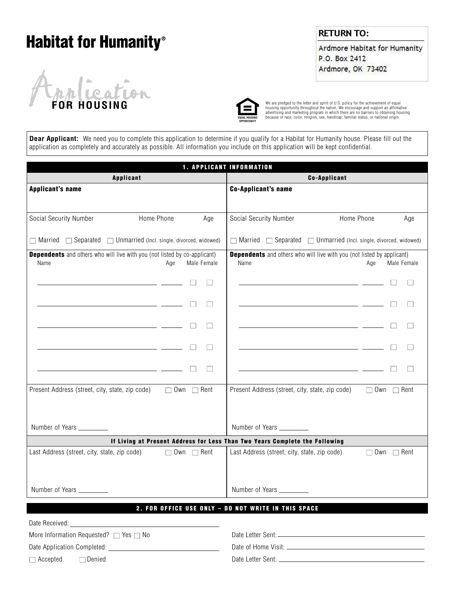# **Habitat for Humanity®**



### **RETURN TO:**

Ardmore Habitat for Humanity P.O. Box 2412 Ardmore, OK 73402



We are pledged to the letter and spirit of U.S. policy for the achievement of equal<br>housing opportunity throughout the nation. We encourage and support an affirmative<br>advertising and marketing program in which there are no

**Dear Applicant:** We need you to complete this application to determine if you qualify for a Habitat for Humanity house. Please fill out the application as completely and accurately as possible. All information you include on this application will be kept confidential.

| <b>1. APPLICANT INFORMATION</b>                                                                                        |                        |                                                                                                                       |                        |  |  |
|------------------------------------------------------------------------------------------------------------------------|------------------------|-----------------------------------------------------------------------------------------------------------------------|------------------------|--|--|
| <b>Applicant</b>                                                                                                       |                        | <b>Co-Applicant</b>                                                                                                   |                        |  |  |
| <b>Applicant's name</b>                                                                                                |                        | <b>Co-Applicant's name</b>                                                                                            |                        |  |  |
|                                                                                                                        |                        |                                                                                                                       |                        |  |  |
| Home Phone<br>Social Security Number                                                                                   | Age                    | Social Security Number                                                                                                | Home Phone<br>Age      |  |  |
| $\Box$ Married $\Box$ Separated $\Box$ Unmarried (Incl. single, divorced, widowed)                                     |                        | $\Box$ Married $\Box$ Separated $\Box$ Unmarried (Incl. single, divorced, widowed)                                    |                        |  |  |
| <b>Dependents</b> and others who will live with you (not listed by co-applicant)<br>Name<br>Age                        | Male Female            | <b>Dependents</b> and others who will live with you (not listed by applicant)<br>Name                                 | Male Female<br>Age     |  |  |
| <u> 1989 - Andrea State Barbara, político e a contrador de la contrador de la contrador de la contrador de la co</u>   | $\Box$                 | <u> 1989 - Johann Barn, mars eta bat erroman erroman erroman erroman erroman erroman erroman erroman erroman err</u>  |                        |  |  |
|                                                                                                                        | $\Box$<br>$\Box$       | <u> 1989 - Johann Barn, mars and de Branch Barn, mars and de Branch Barn, mars and de Branch Barn, mars and de Br</u> |                        |  |  |
| <u> 1989 - Jan Barbara Barat, politik politik (h. 1918).</u>                                                           | П<br>$\Box$            | <u> 1989 - Johann Stein, mars an de Brazilia (b. 1989)</u>                                                            | П                      |  |  |
|                                                                                                                        | $\Box$                 |                                                                                                                       |                        |  |  |
| <u> 1989 - Johann Barn, mars ann an t-Amhain ann an t-Amhain an t-Amhain an t-Amhain an t-Amhain an t-Amhain an t-</u> | П<br>$\Box$            | <u> 1989 - Johann Barbara, martxa alemaniar popular estatubatuar est. Espainiar popular est. Espainiar est. Espai</u> | $\Box$                 |  |  |
| Present Address (street, city, state, zip code)                                                                        | $\Box$ Own $\Box$ Rent | Present Address (street, city, state, zip code)                                                                       | $\Box$ Own $\Box$ Rent |  |  |
| Number of Years _________                                                                                              |                        | Number of Years ________                                                                                              |                        |  |  |
|                                                                                                                        |                        | If Living at Present Address for Less Than Two Years Complete the Following                                           |                        |  |  |
| Last Address (street, city, state, zip code)                                                                           | $\Box$ Own $\Box$ Rent | Last Address (street, city, state, zip code)                                                                          | $\Box$ Own $\Box$ Rent |  |  |
| Number of Years _________                                                                                              |                        | Number of Years _________                                                                                             |                        |  |  |
|                                                                                                                        |                        | 2. FOR OFFICE USE ONLY - DO NOT WRITE IN THIS SPACE                                                                   |                        |  |  |
|                                                                                                                        |                        |                                                                                                                       |                        |  |  |
| More Information Requested? □ Yes □ No                                                                                 |                        |                                                                                                                       |                        |  |  |
|                                                                                                                        |                        |                                                                                                                       |                        |  |  |
| $\Box$ Accepted $\Box$ Denied                                                                                          |                        |                                                                                                                       |                        |  |  |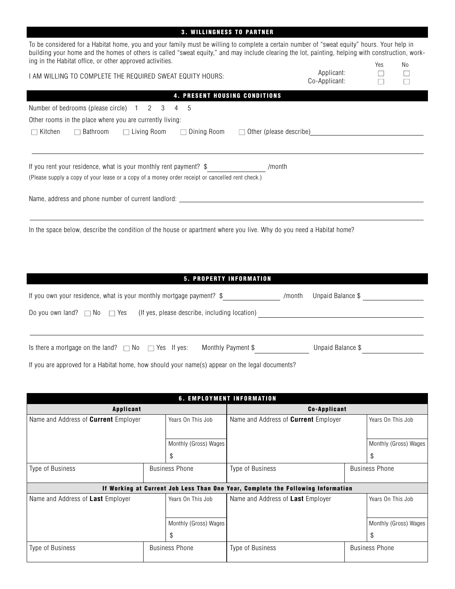|                                                                                                                                                                                                                                                                                                                                                              | <b>3. WILLINGNESS TO PARTNER</b>                  |                             |             |             |
|--------------------------------------------------------------------------------------------------------------------------------------------------------------------------------------------------------------------------------------------------------------------------------------------------------------------------------------------------------------|---------------------------------------------------|-----------------------------|-------------|-------------|
| To be considered for a Habitat home, you and your family must be willing to complete a certain number of "sweat equity" hours. Your help in<br>building your home and the homes of others is called "sweat equity," and may include clearing the lot, painting, helping with construction, work-<br>ing in the Habitat office, or other approved activities. |                                                   |                             | Yes         | No          |
| I AM WILLING TO COMPLETE THE REQUIRED SWEAT EQUITY HOURS:                                                                                                                                                                                                                                                                                                    |                                                   | Applicant:<br>Co-Applicant: | $\Box$<br>П | $\Box$<br>П |
|                                                                                                                                                                                                                                                                                                                                                              | 4. PRESENT HOUSING CONDITIONS                     |                             |             |             |
| Number of bedrooms (please circle) 1 2 3 4<br>-5                                                                                                                                                                                                                                                                                                             |                                                   |                             |             |             |
| Other rooms in the place where you are currently living:                                                                                                                                                                                                                                                                                                     |                                                   |                             |             |             |
| $\Box$ Kitchen<br>□ Bathroom<br>$\Box$ Living Room                                                                                                                                                                                                                                                                                                           | $\Box$ Dining Room $\Box$ Other (please describe) |                             |             |             |
| If you rent your residence, what is your monthly rent payment? \$                                                                                                                                                                                                                                                                                            | /month                                            |                             |             |             |
| (Please supply a copy of your lease or a copy of a money order receipt or cancelled rent check.)                                                                                                                                                                                                                                                             |                                                   |                             |             |             |
| Name, address and phone number of current landlord: Name and South Assembly and South Assembly and South Assembly and South Assembly and South Assembly and South Assembly and South Assembly and South Assembly and South Ass                                                                                                                               |                                                   |                             |             |             |
| In the space below, describe the condition of the house or apartment where you live. Why do you need a Habitat home?                                                                                                                                                                                                                                         | 5. PROPERTY INFORMATION                           |                             |             |             |
| If you own your residence, what is your monthly mortgage payment? \$_______________/month Unpaid Balance \$______________________________                                                                                                                                                                                                                    |                                                   |                             |             |             |
|                                                                                                                                                                                                                                                                                                                                                              |                                                   |                             |             |             |
| Is there a mortgage on the land? $\Box$ No $\Box$ Yes If yes: Monthly Payment \$ Unpaid Balance \$                                                                                                                                                                                                                                                           |                                                   |                             |             |             |
| If you are approved for a Habitat home, how should your name(s) appear on the legal documents?                                                                                                                                                                                                                                                               |                                                   |                             |             |             |
|                                                                                                                                                                                                                                                                                                                                                              | <b>6. EMPLOYMENT INFORMATION</b>                  |                             |             |             |
| <b>Applicant</b>                                                                                                                                                                                                                                                                                                                                             |                                                   | <b>Co-Applicant</b>         |             |             |

| Applicant                            |  |                       | GO-Applicant                                                                     |  |                       |
|--------------------------------------|--|-----------------------|----------------------------------------------------------------------------------|--|-----------------------|
| Name and Address of Current Employer |  | Years On This Job     | Name and Address of <b>Current</b> Employer                                      |  | Years On This Job     |
|                                      |  |                       |                                                                                  |  |                       |
|                                      |  | Monthly (Gross) Wages |                                                                                  |  | Monthly (Gross) Wages |
|                                      |  |                       |                                                                                  |  | \$                    |
| Type of Business                     |  | <b>Business Phone</b> | Type of Business<br><b>Business Phone</b>                                        |  |                       |
|                                      |  |                       |                                                                                  |  |                       |
|                                      |  |                       | If Working at Current Job Less Than One Year, Complete the Following Information |  |                       |
| Name and Address of Last Employer    |  | Years On This Job     | Name and Address of Last Employer                                                |  | Years On This Job     |
|                                      |  |                       |                                                                                  |  |                       |
|                                      |  | Monthly (Gross) Wages |                                                                                  |  | Monthly (Gross) Wages |
|                                      |  | \$                    |                                                                                  |  | \$                    |
| Type of Business                     |  | <b>Business Phone</b> | Type of Business                                                                 |  | <b>Business Phone</b> |
|                                      |  |                       |                                                                                  |  |                       |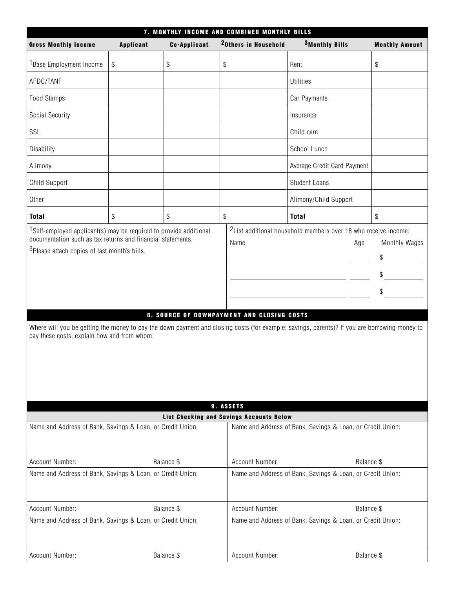|                                                                                                                                                                                                                                                                                                                                                                                                                                                                                                                                                                                       | 7. MONTHLY INCOME AND COMBINED MONTHLY BILLS |                     |                                                       |                                                            |                       |  |
|---------------------------------------------------------------------------------------------------------------------------------------------------------------------------------------------------------------------------------------------------------------------------------------------------------------------------------------------------------------------------------------------------------------------------------------------------------------------------------------------------------------------------------------------------------------------------------------|----------------------------------------------|---------------------|-------------------------------------------------------|------------------------------------------------------------|-----------------------|--|
| <b>Gross Monthly Income</b>                                                                                                                                                                                                                                                                                                                                                                                                                                                                                                                                                           | <b>Applicant</b>                             | <b>Co-Applicant</b> | <sup>2</sup> Others in Household                      | <sup>3</sup> Monthly Bills                                 | <b>Monthly Amount</b> |  |
| <sup>1</sup> Base Employment Income                                                                                                                                                                                                                                                                                                                                                                                                                                                                                                                                                   | $\, \, \raisebox{12pt}{$\scriptstyle \$}$    | \$                  | $\$$                                                  | Rent                                                       | \$                    |  |
| AFDC/TANF                                                                                                                                                                                                                                                                                                                                                                                                                                                                                                                                                                             |                                              |                     |                                                       | <b>Utilities</b>                                           |                       |  |
| Food Stamps                                                                                                                                                                                                                                                                                                                                                                                                                                                                                                                                                                           |                                              |                     |                                                       | Car Payments                                               |                       |  |
| Social Security                                                                                                                                                                                                                                                                                                                                                                                                                                                                                                                                                                       |                                              |                     |                                                       | Insurance                                                  |                       |  |
| SSI                                                                                                                                                                                                                                                                                                                                                                                                                                                                                                                                                                                   |                                              |                     |                                                       | Child care                                                 |                       |  |
| Disability                                                                                                                                                                                                                                                                                                                                                                                                                                                                                                                                                                            |                                              |                     |                                                       | School Lunch                                               |                       |  |
| Alimony                                                                                                                                                                                                                                                                                                                                                                                                                                                                                                                                                                               |                                              |                     |                                                       | Average Credit Card Payment                                |                       |  |
| Child Support                                                                                                                                                                                                                                                                                                                                                                                                                                                                                                                                                                         |                                              |                     |                                                       | <b>Student Loans</b>                                       |                       |  |
| Other                                                                                                                                                                                                                                                                                                                                                                                                                                                                                                                                                                                 |                                              |                     |                                                       | Alimony/Child Support                                      |                       |  |
| <b>Total</b>                                                                                                                                                                                                                                                                                                                                                                                                                                                                                                                                                                          | \$                                           | \$                  | \$                                                    | <b>Total</b>                                               | \$                    |  |
| <sup>2</sup> List additional household members over 18 who receive income:<br><sup>1</sup> Self-employed applicant(s) may be required to provide additional<br>documentation such as tax returns and financial statements.<br>Name<br>Monthly Wages<br>Age<br><sup>3</sup> Please attach copies of last month's bills.<br>\$<br>\$<br>\$<br>8. SOURCE OF DOWNPAYMENT AND CLOSING COSTS<br>Where will you be getting the money to pay the down payment and closing costs (for example: savings, parents)? If you are borrowing money to<br>pay these costs, explain how and from whom. |                                              |                     |                                                       |                                                            |                       |  |
|                                                                                                                                                                                                                                                                                                                                                                                                                                                                                                                                                                                       |                                              |                     | 9. ASSETS<br>List Checking and Savings Accounts Below |                                                            |                       |  |
| Name and Address of Bank, Savings & Loan, or Credit Union:                                                                                                                                                                                                                                                                                                                                                                                                                                                                                                                            |                                              |                     |                                                       | Name and Address of Bank, Savings & Loan, or Credit Union: |                       |  |
| Account Number:                                                                                                                                                                                                                                                                                                                                                                                                                                                                                                                                                                       |                                              | Balance \$          | Account Number:                                       | Balance \$                                                 |                       |  |
| Name and Address of Bank, Savings & Loan, or Credit Union:                                                                                                                                                                                                                                                                                                                                                                                                                                                                                                                            |                                              |                     |                                                       | Name and Address of Bank, Savings & Loan, or Credit Union: |                       |  |
| Account Number:                                                                                                                                                                                                                                                                                                                                                                                                                                                                                                                                                                       |                                              | Balance \$          | Account Number:                                       | Balance \$                                                 |                       |  |
| Name and Address of Bank, Savings & Loan, or Credit Union:<br>Name and Address of Bank, Savings & Loan, or Credit Union:                                                                                                                                                                                                                                                                                                                                                                                                                                                              |                                              |                     |                                                       |                                                            |                       |  |
| Account Number:                                                                                                                                                                                                                                                                                                                                                                                                                                                                                                                                                                       |                                              | Balance \$          | Account Number:                                       | Balance \$                                                 |                       |  |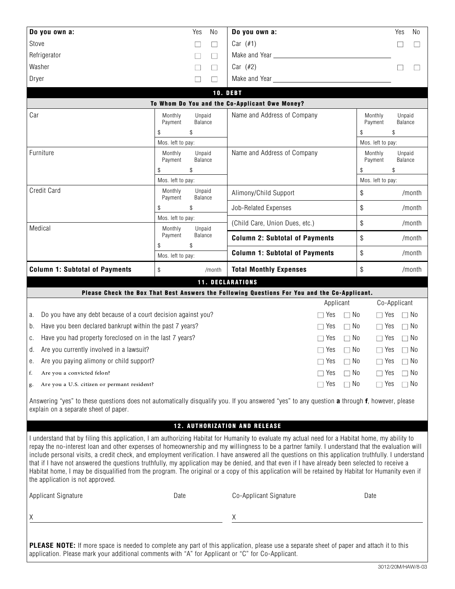| Do you own a: | Yes                      | No                | Do you own a:                                  |                    | Yes               | No |
|---------------|--------------------------|-------------------|------------------------------------------------|--------------------|-------------------|----|
| Stove         |                          | $\Box$            | Car $(\#1)$                                    |                    |                   |    |
| Refrigerator  |                          | Г                 | Make and Year <b>Make and Structure</b>        |                    |                   |    |
| Washer        | $\overline{\phantom{a}}$ | $\Box$            | Car $(\#2)$                                    |                    |                   |    |
| Dryer         | $\mathcal{L}$            | Г                 | Make and Year                                  |                    |                   |    |
|               |                          |                   | <b>10. DEBT</b>                                |                    |                   |    |
|               |                          |                   | To Whom Do You and the Co-Applicant Owe Money? |                    |                   |    |
| Car           | Monthly<br>Payment       | Unpaid<br>Balance | Name and Address of Company                    | Monthly<br>Payment | Unpaid<br>Balance |    |
|               | \$<br>\$                 |                   | \$                                             | \$                 |                   |    |
|               | Mos. left to pay:        |                   |                                                | Mos. left to pay:  |                   |    |

Name and Address of Company Monthly Unpaid<br>Payment Balance

Payment  $\frac{1}{2}$  \$ Mos. left to pay:

Furniture Monthly Unpaid<br>
Payment Balance

Payment  $\begin{array}{ccc} \text{\$} & & \text{\$} \\ \text{\$} & & \text{\$} \end{array}$ Mos. left to pay:

| Credit Card                                                      | Monthly<br>Pavment           | Unpaid<br>Balance | Alimony/Child Support                                                                        |           | \$            |              | /month        |
|------------------------------------------------------------------|------------------------------|-------------------|----------------------------------------------------------------------------------------------|-----------|---------------|--------------|---------------|
|                                                                  | \$                           | \$                | Job-Related Expenses                                                                         |           | \$            |              | /month        |
| Medical                                                          | Mos. left to pay:<br>Monthly | Unpaid            | (Child Care, Union Dues, etc.)                                                               |           | \$            |              | /month        |
|                                                                  | Payment<br>£.                | Balance<br>\$     | <b>Column 2: Subtotal of Payments</b>                                                        |           | \$            |              | /month        |
|                                                                  | Mos. left to pay:            |                   | <b>Column 1: Subtotal of Payments</b>                                                        |           | \$            |              | /month        |
| <b>Column 1: Subtotal of Payments</b>                            | \$                           | /month            | <b>Total Monthly Expenses</b>                                                                |           | \$            |              | /month        |
| <b>11. DECLARATIONS</b>                                          |                              |                   |                                                                                              |           |               |              |               |
|                                                                  |                              |                   | Please Check the Box That Best Answers the Following Questions For You and the Co-Applicant. |           |               |              |               |
|                                                                  |                              |                   |                                                                                              | Applicant |               | Co-Applicant |               |
| a. Do you have any debt because of a court decision against you? |                              |                   |                                                                                              | Yes<br>П  | No.<br>$\Box$ | $\Box$       | Yes $\Box$ No |

|  | Ta. – Do you have any debi because of a court decision against you? | ⊥ res                  | $\Box$ $\Box$ | $\Box$ res $\Box$ in $\Box$ |           |
|--|---------------------------------------------------------------------|------------------------|---------------|-----------------------------|-----------|
|  | b. Have you been declared bankrupt within the past 7 years?         | l Yes                  | $\Box$ No     | $\Box$ Yes                  | $\Box$ No |
|  | c. Have you had property foreclosed on in the last 7 years?         | $\Box$ Yes             | ∩ No          | $\Box$ Yes                  | $\Box$ No |
|  | d. Are you currently involved in a lawsuit?                         | $\Box$ Yes             | ∩ No          | □ Yes                       | ⊟ No      |
|  | e. Are you paying alimony or child support?                         | $\Box$ Yes             | $\Box$ No     | $\Box$ Yes                  | ⊟ No      |
|  | f. Are you a convicted felon?                                       | l Yesi<br>$\mathsf{L}$ | ∩ No          | $\Box$ Yes                  | $\Box$ No |
|  | g. Are you a U.S. citizen or permant resident?                      | l Yes                  | ∩ No          | $\Box$ Yes $\Box$ No        |           |

Answering "yes" to these questions does not automatically disqualify you. If you answered "yes" to any question **a** through **f**, however, please explain on a separate sheet of paper.

#### **12. AUTHORIZATION AND RELEASE**

I understand that by filing this application, I am authorizing Habitat for Humanity to evaluate my actual need for a Habitat home, my ability to repay the no-interest loan and other expenses of homeownership and my willingness to be a partner family. I understand that the evaluation will include personal visits, a credit check, and employment verification. I have answered all the questions on this application truthfully. I understand that if I have not answered the questions truthfully, my application may be denied, and that even if I have already been selected to receive a Habitat home, I may be disqualified from the program. The original or a copy of this application will be retained by Habitat for Humanity even if the application is not approved.

| Applicant Signature | Date | Co-Applicant Signature | Date |
|---------------------|------|------------------------|------|
|                     |      |                        |      |

**PLEASE NOTE:** If more space is needed to complete any part of this application, please use a separate sheet of paper and attach it to this application. Please mark your additional comments with "A" for Applicant or "C" for Co-Applicant.